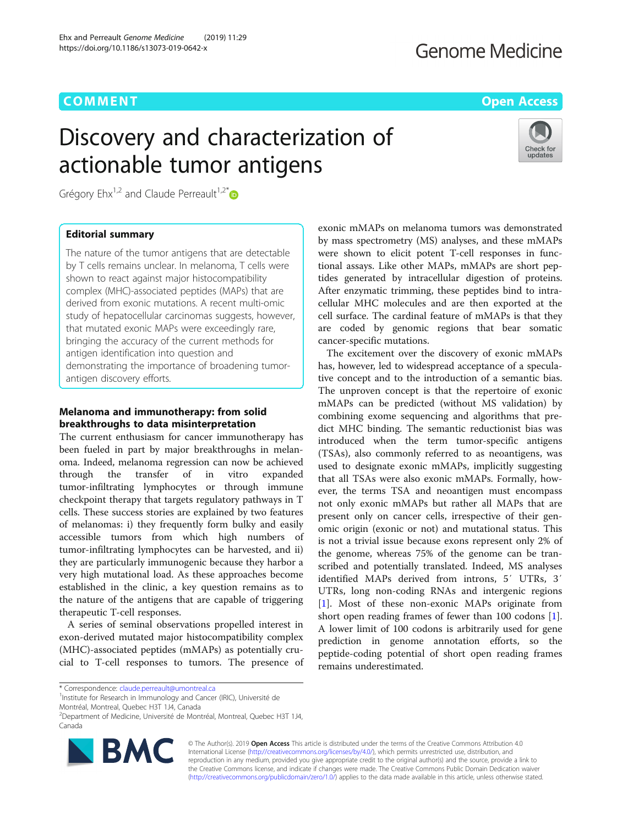## **COMMENT COMMENT COMMENT COMMENT**

## **Genome Medicine**

# Discovery and characterization of actionable tumor antigens



Grégory Ehx<sup>1,2</sup> and Claude Perreault<sup>1,2\*</sup>

## Editorial summary

The nature of the tumor antigens that are detectable by T cells remains unclear. In melanoma, T cells were shown to react against major histocompatibility complex (MHC)-associated peptides (MAPs) that are derived from exonic mutations. A recent multi-omic study of hepatocellular carcinomas suggests, however, that mutated exonic MAPs were exceedingly rare, bringing the accuracy of the current methods for antigen identification into question and demonstrating the importance of broadening tumorantigen discovery efforts.

## Melanoma and immunotherapy: from solid breakthroughs to data misinterpretation

The current enthusiasm for cancer immunotherapy has been fueled in part by major breakthroughs in melanoma. Indeed, melanoma regression can now be achieved through the transfer of in vitro expanded tumor-infiltrating lymphocytes or through immune checkpoint therapy that targets regulatory pathways in T cells. These success stories are explained by two features of melanomas: i) they frequently form bulky and easily accessible tumors from which high numbers of tumor-infiltrating lymphocytes can be harvested, and ii) they are particularly immunogenic because they harbor a very high mutational load. As these approaches become established in the clinic, a key question remains as to the nature of the antigens that are capable of triggering therapeutic T-cell responses.

A series of seminal observations propelled interest in exon-derived mutated major histocompatibility complex (MHC)-associated peptides (mMAPs) as potentially crucial to T-cell responses to tumors. The presence of

exonic mMAPs on melanoma tumors was demonstrated by mass spectrometry (MS) analyses, and these mMAPs were shown to elicit potent T-cell responses in functional assays. Like other MAPs, mMAPs are short peptides generated by intracellular digestion of proteins. After enzymatic trimming, these peptides bind to intracellular MHC molecules and are then exported at the cell surface. The cardinal feature of mMAPs is that they are coded by genomic regions that bear somatic cancer-specific mutations.

The excitement over the discovery of exonic mMAPs has, however, led to widespread acceptance of a speculative concept and to the introduction of a semantic bias. The unproven concept is that the repertoire of exonic mMAPs can be predicted (without MS validation) by combining exome sequencing and algorithms that predict MHC binding. The semantic reductionist bias was introduced when the term tumor-specific antigens (TSAs), also commonly referred to as neoantigens, was used to designate exonic mMAPs, implicitly suggesting that all TSAs were also exonic mMAPs. Formally, however, the terms TSA and neoantigen must encompass not only exonic mMAPs but rather all MAPs that are present only on cancer cells, irrespective of their genomic origin (exonic or not) and mutational status. This is not a trivial issue because exons represent only 2% of the genome, whereas 75% of the genome can be transcribed and potentially translated. Indeed, MS analyses identified MAPs derived from introns, 5′ UTRs, 3′ UTRs, long non-coding RNAs and intergenic regions [[1\]](#page-2-0). Most of these non-exonic MAPs originate from short open reading frames of fewer than 100 codons [\[1](#page-2-0)]. A lower limit of 100 codons is arbitrarily used for gene prediction in genome annotation efforts, so the peptide-coding potential of short open reading frames remains underestimated.

<sup>1</sup>Institute for Research in Immunology and Cancer (IRIC), Université de Montréal, Montreal, Quebec H3T 1J4, Canada

<sup>&</sup>lt;sup>2</sup>Department of Medicine, Université de Montréal, Montreal, Quebec H3T 1J4, Canada



© The Author(s). 2019 Open Access This article is distributed under the terms of the Creative Commons Attribution 4.0 International License [\(http://creativecommons.org/licenses/by/4.0/](http://creativecommons.org/licenses/by/4.0/)), which permits unrestricted use, distribution, and reproduction in any medium, provided you give appropriate credit to the original author(s) and the source, provide a link to the Creative Commons license, and indicate if changes were made. The Creative Commons Public Domain Dedication waiver [\(http://creativecommons.org/publicdomain/zero/1.0/](http://creativecommons.org/publicdomain/zero/1.0/)) applies to the data made available in this article, unless otherwise stated.

<sup>\*</sup> Correspondence: [claude.perreault@umontreal.ca](mailto:claude.perreault@umontreal.ca) <sup>1</sup>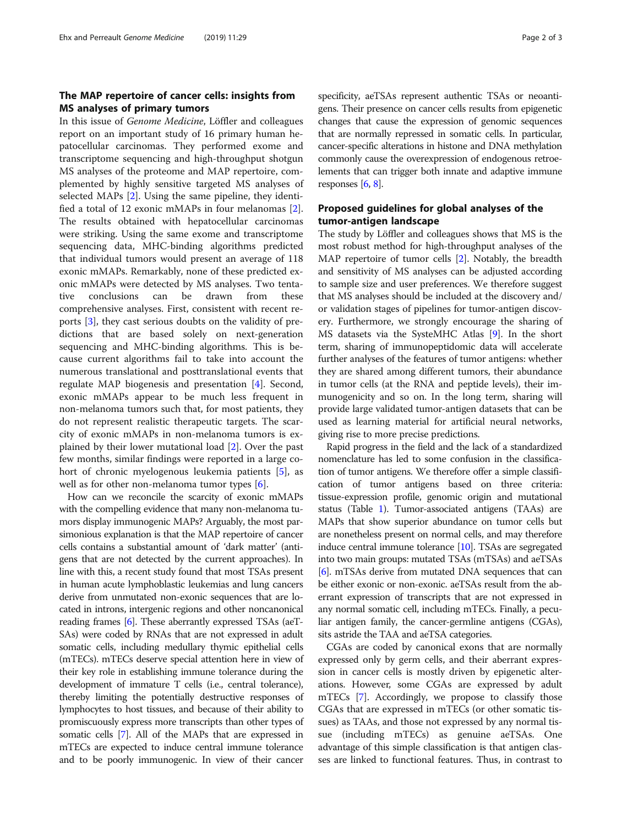## The MAP repertoire of cancer cells: insights from MS analyses of primary tumors

In this issue of Genome Medicine, Löffler and colleagues report on an important study of 16 primary human hepatocellular carcinomas. They performed exome and transcriptome sequencing and high-throughput shotgun MS analyses of the proteome and MAP repertoire, complemented by highly sensitive targeted MS analyses of selected MAPs [\[2](#page-2-0)]. Using the same pipeline, they identified a total of 12 exonic mMAPs in four melanomas [\[2](#page-2-0)]. The results obtained with hepatocellular carcinomas were striking. Using the same exome and transcriptome sequencing data, MHC-binding algorithms predicted that individual tumors would present an average of 118 exonic mMAPs. Remarkably, none of these predicted exonic mMAPs were detected by MS analyses. Two tentative conclusions can be drawn from these comprehensive analyses. First, consistent with recent reports [\[3](#page-2-0)], they cast serious doubts on the validity of predictions that are based solely on next-generation sequencing and MHC-binding algorithms. This is because current algorithms fail to take into account the numerous translational and posttranslational events that regulate MAP biogenesis and presentation [\[4\]](#page-2-0). Second, exonic mMAPs appear to be much less frequent in non-melanoma tumors such that, for most patients, they do not represent realistic therapeutic targets. The scarcity of exonic mMAPs in non-melanoma tumors is explained by their lower mutational load [\[2](#page-2-0)]. Over the past few months, similar findings were reported in a large cohort of chronic myelogenous leukemia patients [\[5](#page-2-0)], as well as for other non-melanoma tumor types  $[6]$  $[6]$ .

How can we reconcile the scarcity of exonic mMAPs with the compelling evidence that many non-melanoma tumors display immunogenic MAPs? Arguably, the most parsimonious explanation is that the MAP repertoire of cancer cells contains a substantial amount of 'dark matter' (antigens that are not detected by the current approaches). In line with this, a recent study found that most TSAs present in human acute lymphoblastic leukemias and lung cancers derive from unmutated non-exonic sequences that are located in introns, intergenic regions and other noncanonical reading frames [[6](#page-2-0)]. These aberrantly expressed TSAs (aeT-SAs) were coded by RNAs that are not expressed in adult somatic cells, including medullary thymic epithelial cells (mTECs). mTECs deserve special attention here in view of their key role in establishing immune tolerance during the development of immature T cells (i.e., central tolerance), thereby limiting the potentially destructive responses of lymphocytes to host tissues, and because of their ability to promiscuously express more transcripts than other types of somatic cells [[7](#page-2-0)]. All of the MAPs that are expressed in mTECs are expected to induce central immune tolerance and to be poorly immunogenic. In view of their cancer specificity, aeTSAs represent authentic TSAs or neoantigens. Their presence on cancer cells results from epigenetic changes that cause the expression of genomic sequences that are normally repressed in somatic cells. In particular, cancer-specific alterations in histone and DNA methylation commonly cause the overexpression of endogenous retroelements that can trigger both innate and adaptive immune responses [\[6,](#page-2-0) [8](#page-2-0)].

## Proposed guidelines for global analyses of the tumor-antigen landscape

The study by Löffler and colleagues shows that MS is the most robust method for high-throughput analyses of the MAP repertoire of tumor cells [\[2](#page-2-0)]. Notably, the breadth and sensitivity of MS analyses can be adjusted according to sample size and user preferences. We therefore suggest that MS analyses should be included at the discovery and/ or validation stages of pipelines for tumor-antigen discovery. Furthermore, we strongly encourage the sharing of MS datasets via the SysteMHC Atlas [[9](#page-2-0)]. In the short term, sharing of immunopeptidomic data will accelerate further analyses of the features of tumor antigens: whether they are shared among different tumors, their abundance in tumor cells (at the RNA and peptide levels), their immunogenicity and so on. In the long term, sharing will provide large validated tumor-antigen datasets that can be used as learning material for artificial neural networks, giving rise to more precise predictions.

Rapid progress in the field and the lack of a standardized nomenclature has led to some confusion in the classification of tumor antigens. We therefore offer a simple classification of tumor antigens based on three criteria: tissue-expression profile, genomic origin and mutational status (Table [1](#page-2-0)). Tumor-associated antigens (TAAs) are MAPs that show superior abundance on tumor cells but are nonetheless present on normal cells, and may therefore induce central immune tolerance [\[10](#page-2-0)]. TSAs are segregated into two main groups: mutated TSAs (mTSAs) and aeTSAs [[6](#page-2-0)]. mTSAs derive from mutated DNA sequences that can be either exonic or non-exonic. aeTSAs result from the aberrant expression of transcripts that are not expressed in any normal somatic cell, including mTECs. Finally, a peculiar antigen family, the cancer-germline antigens (CGAs), sits astride the TAA and aeTSA categories.

CGAs are coded by canonical exons that are normally expressed only by germ cells, and their aberrant expression in cancer cells is mostly driven by epigenetic alterations. However, some CGAs are expressed by adult mTECs [[7](#page-2-0)]. Accordingly, we propose to classify those CGAs that are expressed in mTECs (or other somatic tissues) as TAAs, and those not expressed by any normal tissue (including mTECs) as genuine aeTSAs. One advantage of this simple classification is that antigen classes are linked to functional features. Thus, in contrast to